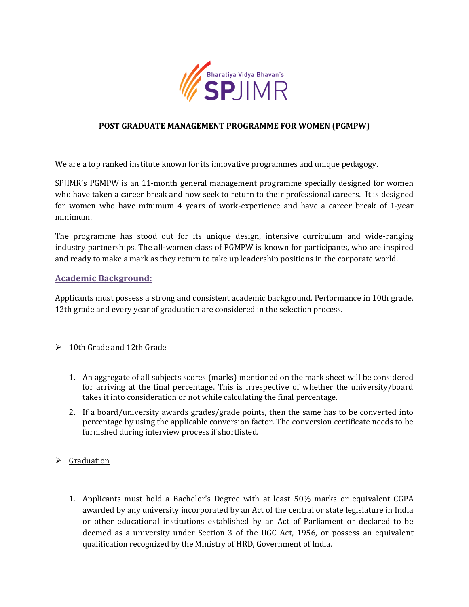

### **POST GRADUATE MANAGEMENT PROGRAMME FOR WOMEN (PGMPW)**

We are a top ranked institute known for its innovative programmes and unique pedagogy.

SPJIMR's PGMPW is an 11-month general management programme specially designed for women who have taken a career break and now seek to return to their professional careers. It is designed for women who have minimum 4 years of work-experience and have a career break of 1-year minimum.

The programme has stood out for its unique design, intensive curriculum and wide-ranging industry partnerships. The all-women class of PGMPW is known for participants, who are inspired and ready to make a mark as they return to take up leadership positions in the corporate world.

#### **Academic Background:**

Applicants must possess a strong and consistent academic background. Performance in 10th grade, 12th grade and every year of graduation are considered in the selection process.

#### $\geq 10$ th Grade and 12th Grade

- 1. An aggregate of all subjects scores (marks) mentioned on the mark sheet will be considered for arriving at the final percentage. This is irrespective of whether the university/board takes it into consideration or not while calculating the final percentage.
- 2. If a board/university awards grades/grade points, then the same has to be converted into percentage by using the applicable conversion factor. The conversion certificate needs to be furnished during interview process if shortlisted.
- $\triangleright$  Graduation
	- 1. Applicants must hold a Bachelor's Degree with at least 50% marks or equivalent CGPA awarded by any university incorporated by an Act of the central or state legislature in India or other educational institutions established by an Act of Parliament or declared to be deemed as a university under Section 3 of the UGC Act, 1956, or possess an equivalent qualification recognized by the Ministry of HRD, Government of India.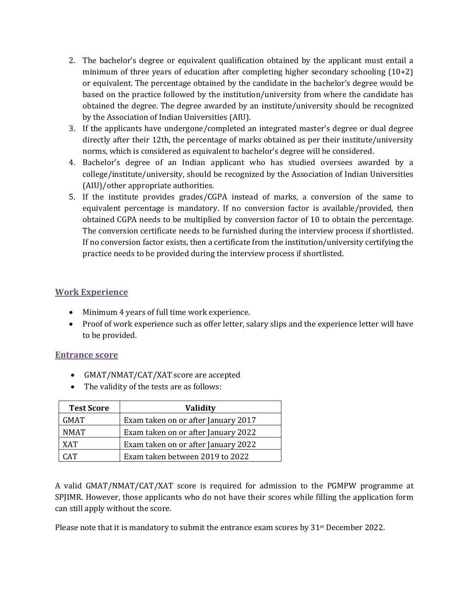- 2. The bachelor's degree or equivalent qualification obtained by the applicant must entail a minimum of three years of education after completing higher secondary schooling (10+2) or equivalent. The percentage obtained by the candidate in the bachelor's degree would be based on the practice followed by the institution/university from where the candidate has obtained the degree. The degree awarded by an institute/university should be recognized by the Association of Indian Universities (AIU).
- 3. If the applicants have undergone/completed an integrated master's degree or dual degree directly after their 12th, the percentage of marks obtained as per their institute/university norms, which is considered as equivalent to bachelor's degree will be considered.
- 4. Bachelor's degree of an Indian applicant who has studied oversees awarded by a college/institute/university, should be recognized by the Association of Indian Universities (AIU)/other appropriate authorities.
- 5. If the institute provides grades/CGPA instead of marks, a conversion of the same to equivalent percentage is mandatory. If no conversion factor is available/provided, then obtained CGPA needs to be multiplied by conversion factor of 10 to obtain the percentage. The conversion certificate needs to be furnished during the interview process if shortlisted. If no conversion factor exists, then a certificate from the institution/university certifying the practice needs to be provided during the interview process if shortlisted.

## **Work Experience**

- Minimum 4 years of full time work experience.
- Proof of work experience such as offer letter, salary slips and the experience letter will have to be provided.

## **Entrance score**

- GMAT/NMAT/CAT/XAT score are accepted
- The validity of the tests are as follows:

| <b>Test Score</b> | <b>Validity</b>                     |
|-------------------|-------------------------------------|
| <b>GMAT</b>       | Exam taken on or after January 2017 |
| <b>NMAT</b>       | Exam taken on or after January 2022 |
| <b>XAT</b>        | Exam taken on or after January 2022 |
| $\Gamma$ AT       | Exam taken between 2019 to 2022     |

A valid GMAT/NMAT/CAT/XAT score is required for admission to the PGMPW programme at SPJIMR. However, those applicants who do not have their scores while filling the application form can still apply without the score.

Please note that it is mandatory to submit the entrance exam scores by 31st December 2022.